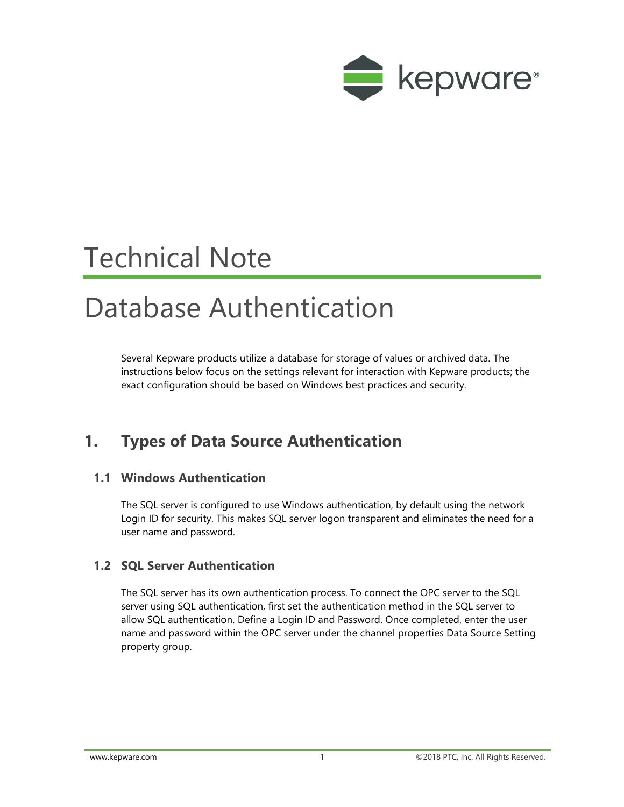

# Technical Note

## Database Authentication

Several Kepware products utilize a database for storage of values or archived data. The instructions below focus on the settings relevant for interaction with Kepware products; the exact configuration should be based on Windows best practices and security.

## **1. Types of Data Source Authentication**

#### **1.1 Windows Authentication**

The SQL server is configured to use Windows authentication, by default using the network Login ID for security. This makes SQL server logon transparent and eliminates the need for a user name and password.

#### **1.2 SQL Server Authentication**

The SQL server has its own authentication process. To connect the OPC server to the SQL server using SQL authentication, first set the authentication method in the SQL server to allow SQL authentication. Define a Login ID and Password. Once completed, enter the user name and password within the OPC server under the channel properties Data Source Setting property group.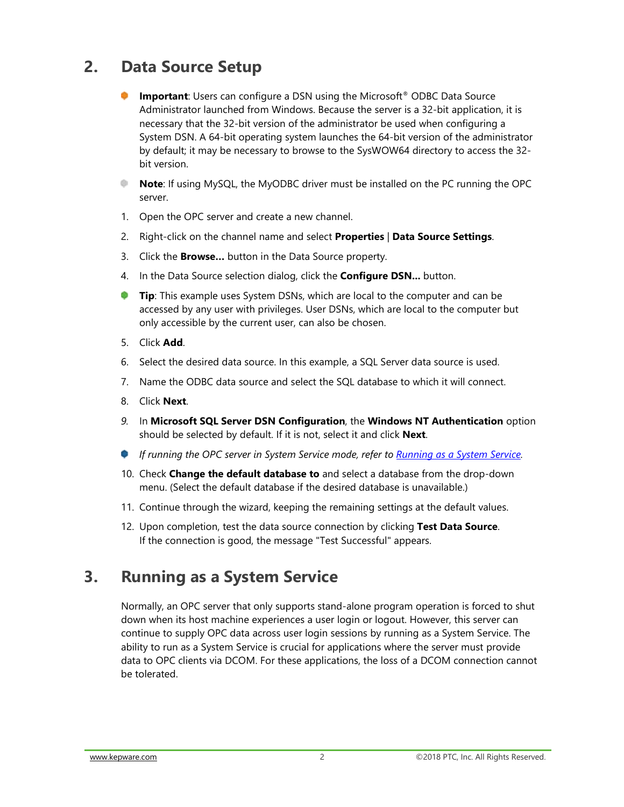## **2. Data Source Setup**

- **Important**: Users can configure a DSN using the Microsoft<sup>®</sup> ODBC Data Source Administrator launched from Windows. Because the server is a 32-bit application, it is necessary that the 32-bit version of the administrator be used when configuring a System DSN. A 64-bit operating system launches the 64-bit version of the administrator by default; it may be necessary to browse to the SysWOW64 directory to access the 32 bit version.
- **Note**: If using MySQL, the MyODBC driver must be installed on the PC running the OPC server.
- 1. Open the OPC server and create a new channel.
- 2. Right-click on the channel name and select **Properties** | **Data Source Settings**.
- 3. Click the **Browse…** button in the Data Source property.
- 4. In the Data Source selection dialog, click the **Configure DSN...** button.
- a an a **Tip**: This example uses System DSNs, which are local to the computer and can be accessed by any user with privileges. User DSNs, which are local to the computer but only accessible by the current user, can also be chosen.
- 5. Click **Add**.
- 6. Select the desired data source. In this example, a SQL Server data source is used.
- 7. Name the ODBC data source and select the SQL database to which it will connect.
- 8. Click **Next**.
- *9.* In **Microsoft SQL Server DSN Configuration**, the **Windows NT Authentication** option should be selected by default. If it is not, select it and click **Next**.
- *If running the OPC server in System Service mode, refer to <b>Running as a System Service.*
- 10. Check **Change the default database to** and select a database from the drop-down menu. (Select the default database if the desired database is unavailable.)
- 11. Continue through the wizard, keeping the remaining settings at the default values.
- 12. Upon completion, test the data source connection by clicking **Test Data Source**. If the connection is good, the message "Test Successful" appears.

### **3. Running as a System Service**

Normally, an OPC server that only supports stand-alone program operation is forced to shut down when its host machine experiences a user login or logout. However, this server can continue to supply OPC data across user login sessions by running as a System Service. The ability to run as a System Service is crucial for applications where the server must provide data to OPC clients via DCOM. For these applications, the loss of a DCOM connection cannot be tolerated.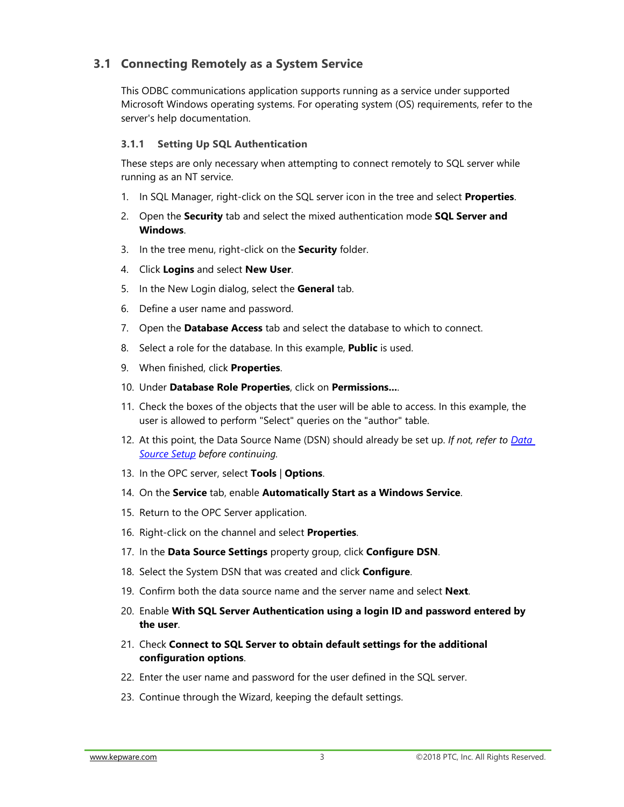#### **3.1 Connecting Remotely as a System Service**

This ODBC communications application supports running as a service under supported Microsoft Windows operating systems. For operating system (OS) requirements, refer to the server's help documentation.

#### **3.1.1 Setting Up SQL Authentication**

These steps are only necessary when attempting to connect remotely to SQL server while running as an NT service.

- 1. In SQL Manager, right-click on the SQL server icon in the tree and select **Properties**.
- 2. Open the **Security** tab and select the mixed authentication mode **SQL Server and Windows**.
- 3. In the tree menu, right-click on the **Security** folder.
- 4. Click **Logins** and select **New User**.
- 5. In the New Login dialog, select the **General** tab.
- 6. Define a user name and password.
- 7. Open the **Database Access** tab and select the database to which to connect.
- 8. Select a role for the database. In this example, **Public** is used.
- 9. When finished, click **Properties**.
- 10. Under **Database Role Properties**, click on **Permissions...**.
- 11. Check the boxes of the objects that the user will be able to access. In this example, the user is allowed to perform "Select" queries on the "author" table.
- 12. At this point, the Data Source Name (DSN) should already be set up. *If not, refer to Data Source Setup before continuing.*
- 13. In the OPC server, select **Tools** | **Options**.
- 14. On the **Service** tab, enable **Automatically Start as a Windows Service**.
- 15. Return to the OPC Server application.
- 16. Right-click on the channel and select **Properties**.
- 17. In the **Data Source Settings** property group, click **Configure DSN**.
- 18. Select the System DSN that was created and click **Configure**.
- 19. Confirm both the data source name and the server name and select **Next**.
- 20. Enable **With SQL Server Authentication using a login ID and password entered by the user**.
- 21. Check **Connect to SQL Server to obtain default settings for the additional configuration options**.
- 22. Enter the user name and password for the user defined in the SQL server.
- 23. Continue through the Wizard, keeping the default settings.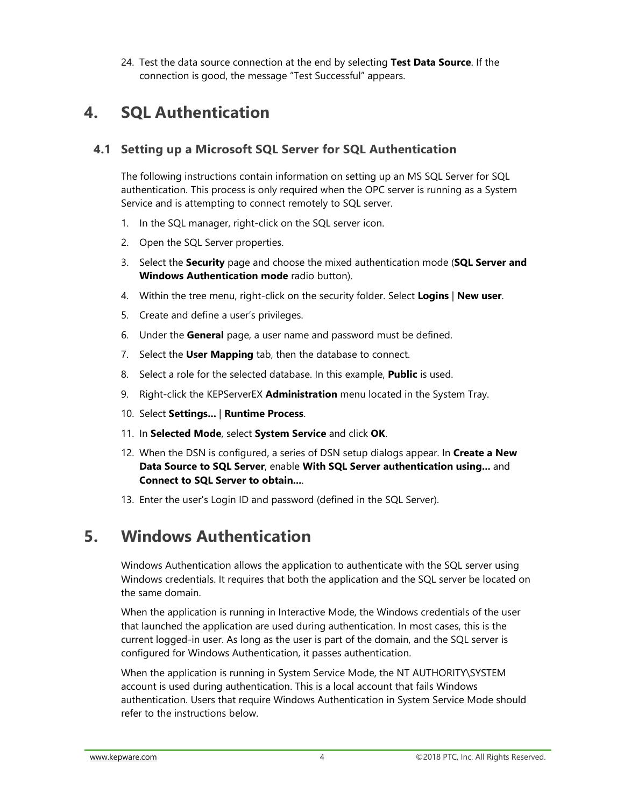24. Test the data source connection at the end by selecting **Test Data Source**. If the connection is good, the message "Test Successful" appears.

### **4. SQL Authentication**

#### **4.1 Setting up a Microsoft SQL Server for SQL Authentication**

The following instructions contain information on setting up an MS SQL Server for SQL authentication. This process is only required when the OPC server is running as a System Service and is attempting to connect remotely to SQL server.

- 1. In the SQL manager, right-click on the SQL server icon.
- 2. Open the SQL Server properties.
- 3. Select the **Security** page and choose the mixed authentication mode (**SQL Server and Windows Authentication mode** radio button).
- 4. Within the tree menu, right-click on the security folder. Select **Logins** | **New user**.
- 5. Create and define a user's privileges.
- 6. Under the **General** page, a user name and password must be defined.
- 7. Select the **User Mapping** tab, then the database to connect.
- 8. Select a role for the selected database. In this example, **Public** is used.
- 9. Right-click the KEPServerEX **Administration** menu located in the System Tray.
- 10. Select **Settings...** | **Runtime Process**.
- 11. In **Selected Mode**, select **System Service** and click **OK**.
- 12. When the DSN is configured, a series of DSN setup dialogs appear. In **Create a New Data Source to SQL Server**, enable **With SQL Server authentication using...** and **Connect to SQL Server to obtain...**.
- 13. Enter the user's Login ID and password (defined in the SQL Server).

## **5. Windows Authentication**

Windows Authentication allows the application to authenticate with the SQL server using Windows credentials. It requires that both the application and the SQL server be located on the same domain.

When the application is running in Interactive Mode, the Windows credentials of the user that launched the application are used during authentication. In most cases, this is the current logged-in user. As long as the user is part of the domain, and the SQL server is configured for Windows Authentication, it passes authentication.

When the application is running in System Service Mode, the NT AUTHORITY\SYSTEM account is used during authentication. This is a local account that fails Windows authentication. Users that require Windows Authentication in System Service Mode should refer to the instructions below.